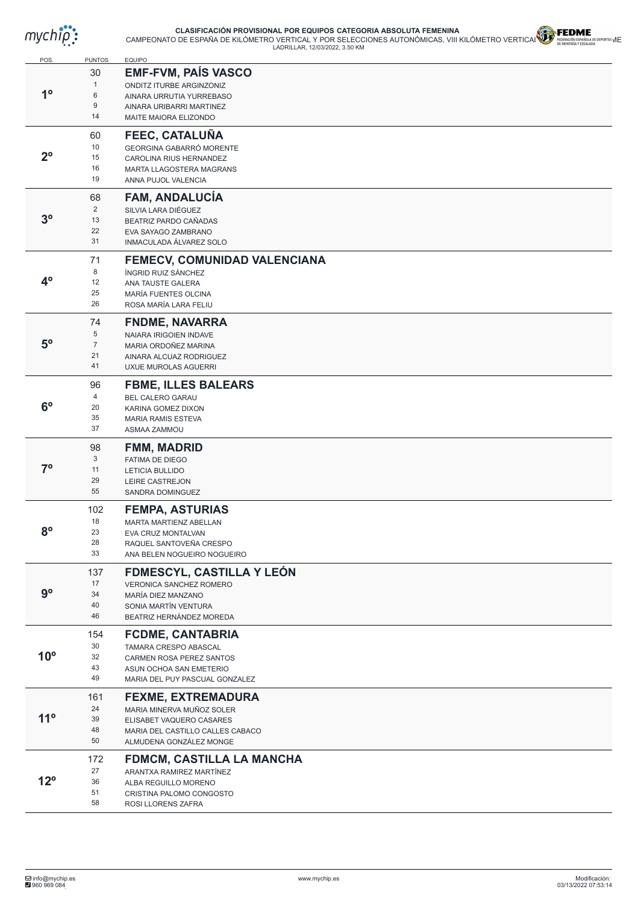

## **CLASIFICACIÓN PROVISIONAL POR EQUIPOS CATEGORIA ABSOLUTA FEMENINA** CAMPEONATO DE ESPAÑA DE KILÓMETRO VERTICAL Y POR SELECCIONES AUTONÓMICAS, VIII KILÓMETRO VERTICAL Y BERRAGÓN ESPAÑOLOGE DE LADRILLAR, 12/03/2022, 3.50 KM<br>LADRILLAR, 12/03/2022, 3.50 KM



| POS.           | <b>PUNTOS</b>    | <b>EQUIPO</b>                                              |
|----------------|------------------|------------------------------------------------------------|
|                | 30               | <b>EMF-FVM, PAÍS VASCO</b>                                 |
|                | $\mathbf{1}$     | ONDITZ ITURBE ARGINZONIZ                                   |
| 1 <sup>o</sup> | 6                | AINARA URRUTIA YURREBASO                                   |
|                | $\boldsymbol{9}$ | AINARA URIBARRI MARTINEZ                                   |
|                | 14               | MAITE MAIORA ELIZONDO                                      |
|                | 60               | <b>FEEC, CATALUÑA</b>                                      |
|                | 10               |                                                            |
| 2 <sup>o</sup> | 15               | GEORGINA GABARRÓ MORENTE                                   |
|                | 16               | CAROLINA RIUS HERNANDEZ<br><b>MARTA LLAGOSTERA MAGRANS</b> |
|                | 19               | ANNA PUJOL VALENCIA                                        |
|                |                  |                                                            |
|                | 68               | <b>FAM, ANDALUCIA</b>                                      |
| 3 <sup>o</sup> | $\overline{2}$   | SILVIA LARA DIÉGUEZ                                        |
|                | 13               | BEATRIZ PARDO CAÑADAS                                      |
|                | 22<br>31         | EVA SAYAGO ZAMBRANO<br>INMACULADA ÁLVAREZ SOLO             |
|                |                  |                                                            |
|                | 71               | FEMECV, COMUNIDAD VALENCIANA                               |
|                | 8                | ÍNGRID RUIZ SÁNCHEZ                                        |
| $4^{\rm o}$    | 12               | ANA TAUSTE GALERA                                          |
|                | 25               | <b>MARÍA FUENTES OLCINA</b>                                |
|                | 26               | ROSA MARÍA LARA FELIU                                      |
|                | 74               | <b>FNDME, NAVARRA</b>                                      |
|                | 5                | <b>NAIARA IRIGOIEN INDAVE</b>                              |
| 5 <sup>o</sup> | $\overline{7}$   | MARIA ORDOÑEZ MARINA                                       |
|                | 21               | AINARA ALCUAZ RODRIGUEZ                                    |
|                | 41               | UXUE MUROLAS AGUERRI                                       |
|                | 96               | <b>FBME, ILLES BALEARS</b>                                 |
|                | 4                | <b>BEL CALERO GARAU</b>                                    |
| 6 <sup>o</sup> | 20               | KARINA GOMEZ DIXON                                         |
|                | 35               | <b>MARIA RAMIS ESTEVA</b>                                  |
|                | 37               | ASMAA ZAMMOU                                               |
|                | 98               | <b>FMM, MADRID</b>                                         |
|                | 3                | <b>FATIMA DE DIEGO</b>                                     |
| $7^\circ$      | 11               | <b>LETICIA BULLIDO</b>                                     |
|                | 29               | LEIRE CASTREJON                                            |
|                | 55               | SANDRA DOMINGUEZ                                           |
|                | 102              | <b>FEMPA, ASTURIAS</b>                                     |
|                | 18               | MARTA MARTIENZ ABELLAN                                     |
| 8 <sup>o</sup> | 23               | EVA CRUZ MONTALVAN                                         |
|                | 28               | RAQUEL SANTOVEÑA CRESPO                                    |
|                | 33               | ANA BELEN NOGUEIRO NOGUEIRO                                |
|                | 137              | <b>FDMESCYL, CASTILLA Y LEÓN</b>                           |
|                | 17               | <b>VERONICA SANCHEZ ROMERO</b>                             |
| $9^{\circ}$    | 34               | MARÍA DIEZ MANZANO                                         |
|                | 40               | SONIA MARTÍN VENTURA                                       |
|                | 46               | BEATRIZ HERNÁNDEZ MOREDA                                   |
|                | 154              | <b>FCDME, CANTABRIA</b>                                    |
|                | 30               | TAMARA CRESPO ABASCAL                                      |
| $10^{\circ}$   | 32               | CARMEN ROSA PEREZ SANTOS                                   |
|                | 43               | ASUN OCHOA SAN EMETERIO                                    |
|                | 49               | MARIA DEL PUY PASCUAL GONZALEZ                             |
|                |                  |                                                            |
|                | 161<br>24        | <b>FEXME, EXTREMADURA</b>                                  |
| $11^{\circ}$   | 39               | MARIA MINERVA MUÑOZ SOLER<br>ELISABET VAQUERO CASARES      |
|                | 48               | MARIA DEL CASTILLO CALLES CABACO                           |
|                | 50               | ALMUDENA GONZÁLEZ MONGE                                    |
|                |                  |                                                            |
|                | 172              | FDMCM, CASTILLA LA MANCHA                                  |
| $12^{\circ}$   | 27               | ARANTXA RAMIREZ MARTÍNEZ                                   |
|                | 36<br>51         | ALBA REGUILLO MORENO                                       |
|                | 58               | CRISTINA PALOMO CONGOSTO                                   |
|                |                  | ROSI LLORENS ZAFRA                                         |